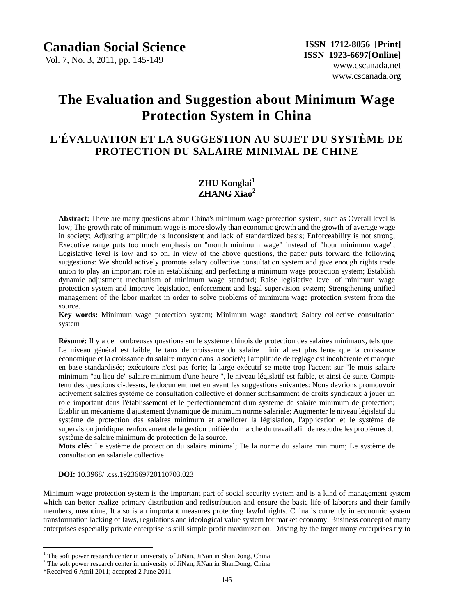Vol. 7, No. 3, 2011, pp. 145-149

# **The Evaluation and Suggestion about Minimum Wage Protection System in China**

# **L'ÉVALUATION ET LA SUGGESTION AU SUJET DU SYSTÈME DE PROTECTION DU SALAIRE MINIMAL DE CHINE**

## **ZHU Konglai<sup>1</sup> ZHANG Xiao<sup>2</sup>**

**Abstract:** There are many questions about China's minimum wage protection system, such as Overall level is low; The growth rate of minimum wage is more slowly than economic growth and the growth of average wage in society; Adjusting amplitude is inconsistent and lack of standardized basis; Enforceability is not strong; Executive range puts too much emphasis on "month minimum wage" instead of "hour minimum wage"; Legislative level is low and so on. In view of the above questions, the paper puts forward the following suggestions: We should actively promote salary collective consultation system and give enough rights trade union to play an important role in establishing and perfecting a minimum wage protection system; Establish dynamic adjustment mechanism of minimum wage standard; Raise legislative level of minimum wage protection system and improve legislation, enforcement and legal supervision system; Strengthening unified management of the labor market in order to solve problems of minimum wage protection system from the source.

**Key words:** Minimum wage protection system; Minimum wage standard; Salary collective consultation system

**R** sum é Il y a de nombreuses questions sur le système chinois de protection des salaires minimaux, tels que: Le niveau général est faible, le taux de croissance du salaire minimal est plus lente que la croissance économique et la croissance du salaire moyen dans la société; l'amplitude de réglage est incohérente et manque en base standardisée; exécutoire n'est pas forte; la large exécutif se mette trop l'accent sur "le mois salaire minimum "au lieu de" salaire minimum d'une heure ", le niveau législatif est faible, et ainsi de suite. Compte tenu des questions ci-dessus, le document met en avant les suggestions suivantes: Nous devrions promouvoir activement salaires système de consultation collective et donner suffisamment de droits syndicaux à jouer un rôle important dans l'établissement et le perfectionnement d'un système de salaire minimum de protection; Etablir un mécanisme d'ajustement dynamique de minimum norme salariale; Augmenter le niveau législatif du système de protection des salaires minimum et améliorer la législation, l'application et le système de supervision juridique; renforcement de la gestion unifiée du marché du travail afin de résoudre les problèmes du système de salaire minimum de protection de la source.

**Mots clés**: Le système de protection du salaire minimal; De la norme du salaire minimum; Le système de consultation en salariale collective

**DOI:** 10.3968/j.css.1923669720110703.023

Minimum wage protection system is the important part of social security system and is a kind of management system which can better realize primary distribution and redistribution and ensure the basic life of laborers and their family members, meantime, It also is an important measures protecting lawful rights. China is currently in economic system transformation lacking of laws, regulations and ideological value system for market economy. Business concept of many enterprises especially private enterprise is still simple profit maximization. Driving by the target many enterprises try to

 $\overline{a}$ 

 $1$  The soft power research center in university of JiNan, JiNan in ShanDong, China

 $2$  The soft power research center in university of JiNan, JiNan in ShanDong, China

<sup>\*</sup>Received 6 April 2011; accepted 2 June 2011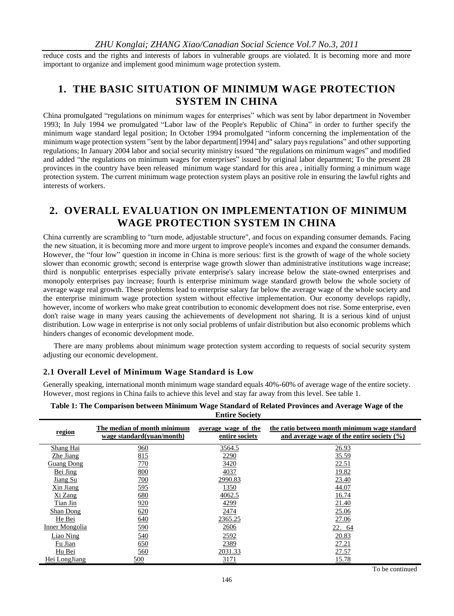reduce costs and the rights and interests of labors in vulnerable groups are violated. It is becoming more and more important to organize and implement good minimum wage protection system.

# **1. THE BASIC SITUATION OF MINIMUM WAGE PROTECTION SYSTEM IN CHINA**

China promulgated "regulations on minimum wages for enterprises" which was sent by labor department in November 1993; In July 1994 we promulgated "Labor law of the People's Republic of China" in order to further specify the minimum wage standard legal position; In October 1994 promulgated "inform concerning the implementation of the minimum wage protection system "sent by the labor department[1994] and" salary pays regulations" and other supporting regulations; In January 2004 labor and social security ministry issued "the regulations on minimum wages" and modified and added "the regulations on minimum wages for enterprises" issued by original labor department; To the present 28 provinces in the country have been released minimum wage standard for this area , initially forming a minimum wage protection system. The current minimum wage protection system plays an positive role in ensuring the lawful rights and interests of workers.

# **2. OVERALL EVALUATION ON IMPLEMENTATION OF MINIMUM WAGE PROTECTION SYSTEM IN CHINA**

China currently are scrambling to "turn mode, adjustable structure", and focus on expanding consumer demands. Facing the new situation, it is becoming more and more urgent to improve people's incomes and expand the consumer demands. However, the "four low" question in income in China is more serious: first is the growth of wage of the whole society slower than economic growth; second is enterprise wage growth slower than administrative institutions wage increase; third is nonpublic enterprises especially private enterprise's salary increase below the state-owned enterprises and monopoly enterprises pay increase; fourth is enterprise minimum wage standard growth below the whole society of average wage real growth. These problems lead to enterprise salary far below the average wage of the whole society and the enterprise minimum wage protection system without effective implementation. Our economy develops rapidly, however, income of workers who make great contribution to economic development does not rise. Some enterprise, even don't raise wage in many years causing the achievements of development not sharing. It is a serious kind of unjust distribution. Low wage in enterprise is not only social problems of unfair distribution but also economic problems which hinders changes of economic development mode.

There are many problems about minimum wage protection system according to requests of social security system adjusting our economic development.

#### **2.1 Overall Level of Minimum Wage Standard is Low**

Generally speaking, international month minimum wage standard equals 40%-60% of average wage of the entire society. However, most regions in China fails to achieve this level and stay far away from this level. See table 1.

| region            | The median of month minimum<br>wage standard(yuan/month) | average wage of the<br>entire society | the ratio between month minimum wage standard<br>and average wage of the entire society $(\% )$ |
|-------------------|----------------------------------------------------------|---------------------------------------|-------------------------------------------------------------------------------------------------|
| Shang Hai         | 960                                                      | 3564.5                                | 26.93                                                                                           |
| Zhe Jiang         | 815                                                      | 2290                                  | 35.59                                                                                           |
| <b>Guang Dong</b> | 770                                                      | 3420                                  | 22.51                                                                                           |
| Bei Jing          | <u>800</u>                                               | 4037                                  | 19.82                                                                                           |
| Jiang Su          | <u>700</u>                                               | 2990.83                               | 23.40                                                                                           |
| Xin Jiang         | <u>595</u>                                               | 1350                                  | 44.07                                                                                           |
| Xi Zang           | 680                                                      | 4062.5                                | 16.74                                                                                           |
| Tian Jin          | 920                                                      | 4299                                  | 21.40                                                                                           |
| Shan Dong         | 620                                                      | 2474                                  | 25.06                                                                                           |
| He Bei            | 640                                                      | 2365.25                               | 27.06                                                                                           |
| Inner Mongolia    | <u>590</u>                                               | 2606                                  | 22.64                                                                                           |
| Liao Ning         | <u>540</u>                                               | 2592                                  | 20.83                                                                                           |
| Fu Jian           | 650                                                      | 2389                                  | 27.21                                                                                           |
| Hu Bei            | <u>560</u>                                               | 2031.33                               | 27.57                                                                                           |
| Hei LongJiang     | 500                                                      | 3171                                  | 15.78                                                                                           |

#### **Table 1: The Comparison between Minimum Wage Standard of Related Provinces and Average Wage of the Entire Society**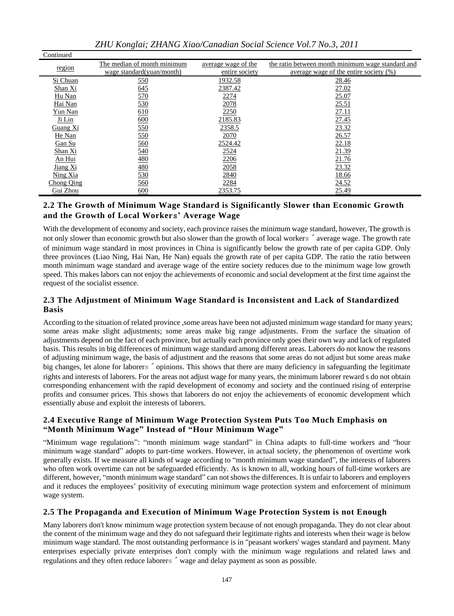| ZHU Konglai; ZHANG Xiao/Canadian Social Science Vol.7 No.3, 2011 |  |
|------------------------------------------------------------------|--|
|------------------------------------------------------------------|--|

Continued

| ---------- |                             |                     |                                                   |
|------------|-----------------------------|---------------------|---------------------------------------------------|
| region     | The median of month minimum | average wage of the | the ratio between month minimum wage standard and |
|            | wage standard(yuan/month)   | entire society      | average wage of the entire society $(\%)$         |
| Si Chuan   | <u>550</u>                  | 1932.58             | 28.46                                             |
| Shan Xi    | 645                         | 2387.42             | 27.02                                             |
| Hu Nan     | 570                         | 2274                | 25.07                                             |
| Hai Nan    | 530                         | 2078                | 25.51                                             |
| Yun Nan    | 610                         | 2250                | 27.11                                             |
| Ji Lin     | 600                         | 2185.83             | 27.45                                             |
| Guang Xi   | 550                         | 2358.5              | 23.32                                             |
| He Nan     | <u>550</u>                  | 2070                | 26.57                                             |
| Gan Su     | <u>560</u>                  | 2524.42             | 22.18                                             |
| Shan Xi    | 540                         | 2524                | 21.39                                             |
| An Hui     | $\frac{480}{2}$             | 2206                | 21.76                                             |
| Jiang Xi   | $\frac{480}{5}$             | 2058                | 23.32                                             |
| Ning Xia   | 530                         | 2840                | 18.66                                             |
| Chong Qing | 560                         | 2284                | 24.52                                             |
| Gui Zhou   | 600                         | 2353.75             | 25.49                                             |

#### **2.2 The Growth of Minimum Wage Standard is Significantly Slower than Economic Growth and the Growth of Local Worker**s**' Average Wage**

With the development of economy and society, each province raises the minimum wage standard, however, The growth is not only slower than economic growth but also slower than the growth of local workers  $\hat{ }$  average wage. The growth rate of minimum wage standard in most provinces in China is significantly below the growth rate of per capita GDP. Only three provinces (Liao Ning, Hai Nan, He Nan) equals the growth rate of per capita GDP. The ratio the ratio between month minimum wage standard and average wage of the entire society reduces due to the minimum wage low growth speed. This makes labors can not enjoy the achievements of economic and social development at the first time against the request of the socialist essence.

#### **2.3 The Adjustment of Minimum Wage Standard is Inconsistent and Lack of Standardized Basis**

According to the situation of related province ,some areas have been not adjusted minimum wage standard for many years; some areas make slight adjustments; some areas make big range adjustments. From the surface the situation of adjustments depend on the fact of each province, but actually each province only goes their own way and lack of regulated basis. This results in big differences of minimum wage standard among different areas. Laborers do not know the reasons of adjusting minimum wage, the basis of adjustment and the reasons that some areas do not adjust but some areas make big changes, let alone for laborers  $\sim$  opinions. This shows that there are many deficiency in safeguarding the legitimate rights and interests of laborers. For the areas not adjust wage for many years, the minimum laborer reward s do not obtain corresponding enhancement with the rapid development of economy and society and the continued rising of enterprise profits and consumer prices. This shows that laborers do not enjoy the achievements of economic development which essentially abuse and exploit the interests of laborers.

#### **2.4 Executive Range of Minimum Wage Protection System Puts Too Much Emphasis on "Month Minimum Wage" Instead of "Hour Minimum Wage"**

"Minimum wage regulations": "month minimum wage standard" in China adapts to full-time workers and "hour minimum wage standard" adopts to part-time workers. However, in actual society, the phenomenon of overtime work generally exists. If we measure all kinds of wage according to "month minimum wage standard", the interests of laborers who often work overtime can not be safeguarded efficiently. As is known to all, working hours of full-time workers are different, however, "month minimum wage standard" can not shows the differences. It is unfair to laborers and employers and it reduces the employees' positivity of executing minimum wage protection system and enforcement of minimum wage system.

#### **2.5 The Propaganda and Execution of Minimum Wage Protection System is not Enough**

Many laborers don't know minimum wage protection system because of not enough propaganda. They do not clear about the content of the minimum wage and they do not safeguard their legitimate rights and interests when their wage is below minimum wage standard. The most outstanding performance is in "peasant workers' wages standard and payment. Many enterprises especially private enterprises don't comply with the minimum wage regulations and related laws and regulations and they often reduce laborers  $\tilde{\phantom{a}}$  wage and delay payment as soon as possible.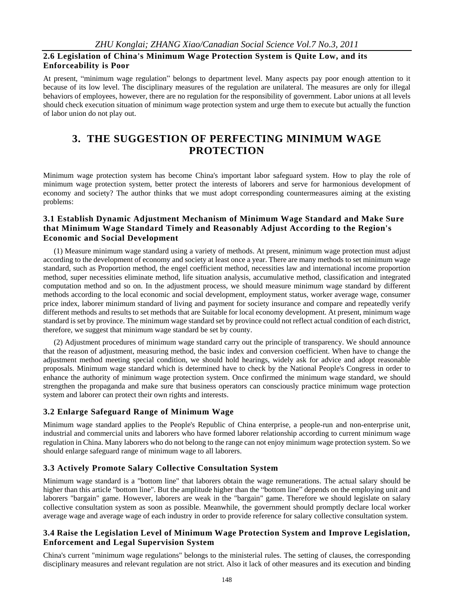#### **2.6 Legislation of China's Minimum Wage Protection System is Quite Low, and its Enforceability is Poor**

At present, "minimum wage regulation" belongs to department level. Many aspects pay poor enough attention to it because of its low level. The disciplinary measures of the regulation are unilateral. The measures are only for illegal behaviors of employees, however, there are no regulation for the responsibility of government. Labor unions at all levels should check execution situation of minimum wage protection system and urge them to execute but actually the function of labor union do not play out.

# **3. THE SUGGESTION OF PERFECTING MINIMUM WAGE PROTECTION**

Minimum wage protection system has become China's important labor safeguard system. How to play the role of minimum wage protection system, better protect the interests of laborers and serve for harmonious development of economy and society? The author thinks that we must adopt corresponding countermeasures aiming at the existing problems:

#### **3.1 Establish Dynamic Adjustment Mechanism of Minimum Wage Standard and Make Sure that Minimum Wage Standard Timely and Reasonably Adjust According to the Region's Economic and Social Development**

(1) Measure minimum wage standard using a variety of methods. At present, minimum wage protection must adjust according to the development of economy and society at least once a year. There are many methods to set minimum wage standard, such as Proportion method, the engel coefficient method, necessities law and international income proportion method, super necessities eliminate method, life situation analysis, accumulative method, classification and integrated computation method and so on. In the adjustment process, we should measure minimum wage standard by different methods according to the local economic and social development, employment status, worker average wage, consumer price index, laborer minimum standard of living and payment for society insurance and compare and repeatedly verify different methods and results to set methods that are Suitable for local economy development. At present, minimum wage standard is set by province. The minimum wage standard set by province could not reflect actual condition of each district, therefore, we suggest that minimum wage standard be set by county.

(2) Adjustment procedures of minimum wage standard carry out the principle of transparency. We should announce that the reason of adjustment, measuring method, the basic index and conversion coefficient. When have to change the adjustment method meeting special condition, we should hold hearings, widely ask for advice and adopt reasonable proposals. Minimum wage standard which is determined have to check by the National People's Congress in order to enhance the authority of minimum wage protection system. Once confirmed the minimum wage standard, we should strengthen the propaganda and make sure that business operators can consciously practice minimum wage protection system and laborer can protect their own rights and interests.

#### **3.2 Enlarge Safeguard Range of Minimum Wage**

Minimum wage standard applies to the People's Republic of China enterprise, a people-run and non-enterprise unit, industrial and commercial units and laborers who have formed laborer relationship according to current minimum wage regulation in China. Many laborers who do not belong to the range can not enjoy minimum wage protection system. So we should enlarge safeguard range of minimum wage to all laborers.

#### **3.3 Actively Promote Salary Collective Consultation System**

Minimum wage standard is a "bottom line" that laborers obtain the wage remunerations. The actual salary should be higher than this article "bottom line". But the amplitude higher than the "bottom line" depends on the employing unit and laborers "bargain" game. However, laborers are weak in the "bargain" game. Therefore we should legislate on salary collective consultation system as soon as possible. Meanwhile, the government should promptly declare local worker average wage and average wage of each industry in order to provide reference for salary collective consultation system.

#### **3.4 Raise the Legislation Level of Minimum Wage Protection System and Improve Legislation, Enforcement and Legal Supervision System**

China's current "minimum wage regulations" belongs to the ministerial rules. The setting of clauses, the corresponding disciplinary measures and relevant regulation are not strict. Also it lack of other measures and its execution and binding